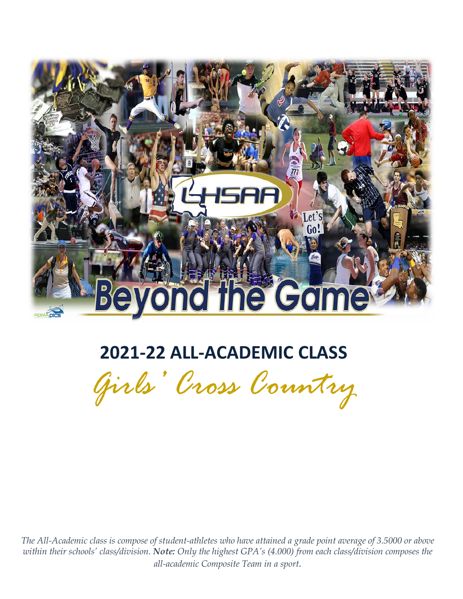

# **2021-22 ALL-ACADEMIC CLASS**

*Girls' Cross Country* 

*The All-Academic class is compose of student-athletes who have attained a grade point average of 3.5000 or above within their schools' class/division. Note: Only the highest GPA's (4.000) from each class/division composes the all-academic Composite Team in a sport.*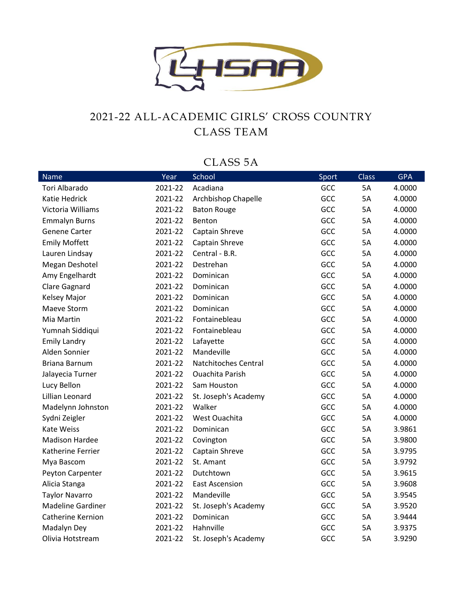

#### 2021-22 ALL-ACADEMIC GIRLS' CROSS COUNTRY CLASS TEAM

#### CLASS 5A

| Name                     | Year    | School                 | Sport | <b>Class</b> | <b>GPA</b> |
|--------------------------|---------|------------------------|-------|--------------|------------|
| Tori Albarado            | 2021-22 | Acadiana               | GCC   | 5A           | 4.0000     |
| Katie Hedrick            | 2021-22 | Archbishop Chapelle    | GCC   | 5A           | 4.0000     |
| Victoria Williams        | 2021-22 | <b>Baton Rouge</b>     | GCC   | <b>5A</b>    | 4.0000     |
| <b>Emmalyn Burns</b>     | 2021-22 | Benton                 | GCC   | 5A           | 4.0000     |
| <b>Genene Carter</b>     | 2021-22 | Captain Shreve         | GCC   | 5A           | 4.0000     |
| <b>Emily Moffett</b>     | 2021-22 | Captain Shreve         | GCC   | <b>5A</b>    | 4.0000     |
| Lauren Lindsay           | 2021-22 | Central - B.R.         | GCC   | 5A           | 4.0000     |
| Megan Deshotel           | 2021-22 | Destrehan              | GCC   | <b>5A</b>    | 4.0000     |
| Amy Engelhardt           | 2021-22 | Dominican              | GCC   | 5A           | 4.0000     |
| <b>Clare Gagnard</b>     | 2021-22 | Dominican              | GCC   | <b>5A</b>    | 4.0000     |
| Kelsey Major             | 2021-22 | Dominican              | GCC   | 5A           | 4.0000     |
| Maeve Storm              | 2021-22 | Dominican              | GCC   | <b>5A</b>    | 4.0000     |
| Mia Martin               | 2021-22 | Fontainebleau          | GCC   | 5A           | 4.0000     |
| Yumnah Siddiqui          | 2021-22 | Fontainebleau          | GCC   | <b>5A</b>    | 4.0000     |
| <b>Emily Landry</b>      | 2021-22 | Lafayette              | GCC   | 5A           | 4.0000     |
| Alden Sonnier            | 2021-22 | Mandeville             | GCC   | 5A           | 4.0000     |
| <b>Briana Barnum</b>     | 2021-22 | Natchitoches Central   | GCC   | 5A           | 4.0000     |
| Jalayecia Turner         | 2021-22 | <b>Ouachita Parish</b> | GCC   | <b>5A</b>    | 4.0000     |
| Lucy Bellon              | 2021-22 | Sam Houston            | GCC   | 5A           | 4.0000     |
| Lillian Leonard          | 2021-22 | St. Joseph's Academy   | GCC   | 5A           | 4.0000     |
| Madelynn Johnston        | 2021-22 | Walker                 | GCC   | <b>5A</b>    | 4.0000     |
| Sydni Zeigler            | 2021-22 | West Ouachita          | GCC   | 5A           | 4.0000     |
| <b>Kate Weiss</b>        | 2021-22 | Dominican              | GCC   | 5A           | 3.9861     |
| <b>Madison Hardee</b>    | 2021-22 | Covington              | GCC   | 5A           | 3.9800     |
| Katherine Ferrier        | 2021-22 | Captain Shreve         | GCC   | 5A           | 3.9795     |
| Mya Bascom               | 2021-22 | St. Amant              | GCC   | 5A           | 3.9792     |
| Peyton Carpenter         | 2021-22 | Dutchtown              | GCC   | <b>5A</b>    | 3.9615     |
| Alicia Stanga            | 2021-22 | <b>East Ascension</b>  | GCC   | 5A           | 3.9608     |
| <b>Taylor Navarro</b>    | 2021-22 | Mandeville             | GCC   | <b>5A</b>    | 3.9545     |
| <b>Madeline Gardiner</b> | 2021-22 | St. Joseph's Academy   | GCC   | 5A           | 3.9520     |
| Catherine Kernion        | 2021-22 | Dominican              | GCC   | 5A           | 3.9444     |
| Madalyn Dey              | 2021-22 | Hahnville              | GCC   | 5A           | 3.9375     |
| Olivia Hotstream         | 2021-22 | St. Joseph's Academy   | GCC   | <b>5A</b>    | 3.9290     |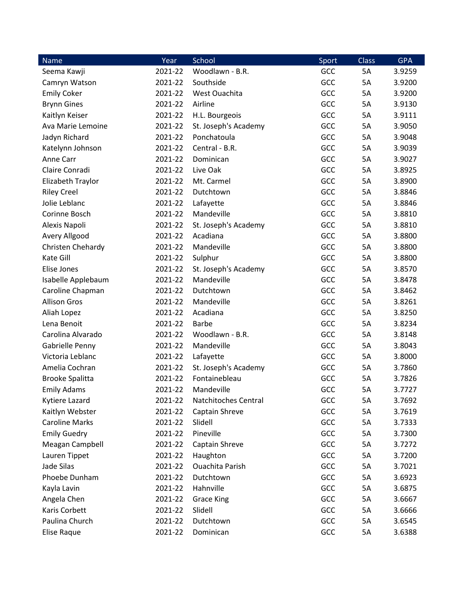| <b>Name</b>            | Year    | School                 | Sport | Class | <b>GPA</b> |
|------------------------|---------|------------------------|-------|-------|------------|
| Seema Kawji            | 2021-22 | Woodlawn - B.R.        | GCC   | 5A    | 3.9259     |
| Camryn Watson          | 2021-22 | Southside              | GCC   | 5A    | 3.9200     |
| <b>Emily Coker</b>     | 2021-22 | West Ouachita          | GCC   | 5A    | 3.9200     |
| <b>Brynn Gines</b>     | 2021-22 | Airline                | GCC   | 5A    | 3.9130     |
| Kaitlyn Keiser         | 2021-22 | H.L. Bourgeois         | GCC   | 5A    | 3.9111     |
| Ava Marie Lemoine      | 2021-22 | St. Joseph's Academy   | GCC   | 5A    | 3.9050     |
| Jadyn Richard          | 2021-22 | Ponchatoula            | GCC   | 5A    | 3.9048     |
| Katelynn Johnson       | 2021-22 | Central - B.R.         | GCC   | 5A    | 3.9039     |
| Anne Carr              | 2021-22 | Dominican              | GCC   | 5A    | 3.9027     |
| Claire Conradi         | 2021-22 | Live Oak               | GCC   | 5A    | 3.8925     |
| Elizabeth Traylor      | 2021-22 | Mt. Carmel             | GCC   | 5A    | 3.8900     |
| <b>Riley Creel</b>     | 2021-22 | Dutchtown              | GCC   | 5A    | 3.8846     |
| Jolie Leblanc          | 2021-22 | Lafayette              | GCC   | 5A    | 3.8846     |
| Corinne Bosch          | 2021-22 | Mandeville             | GCC   | 5A    | 3.8810     |
| Alexis Napoli          | 2021-22 | St. Joseph's Academy   | GCC   | 5A    | 3.8810     |
| Avery Allgood          | 2021-22 | Acadiana               | GCC   | 5A    | 3.8800     |
| Christen Chehardy      | 2021-22 | Mandeville             | GCC   | 5A    | 3.8800     |
| Kate Gill              | 2021-22 | Sulphur                | GCC   | 5A    | 3.8800     |
| Elise Jones            | 2021-22 | St. Joseph's Academy   | GCC   | 5A    | 3.8570     |
| Isabelle Applebaum     | 2021-22 | Mandeville             | GCC   | 5A    | 3.8478     |
| Caroline Chapman       | 2021-22 | Dutchtown              | GCC   | 5A    | 3.8462     |
| <b>Allison Gros</b>    | 2021-22 | Mandeville             | GCC   | 5A    | 3.8261     |
| Aliah Lopez            | 2021-22 | Acadiana               | GCC   | 5A    | 3.8250     |
| Lena Benoit            | 2021-22 | <b>Barbe</b>           | GCC   | 5A    | 3.8234     |
| Carolina Alvarado      | 2021-22 | Woodlawn - B.R.        | GCC   | 5A    | 3.8148     |
| Gabrielle Penny        | 2021-22 | Mandeville             | GCC   | 5A    | 3.8043     |
| Victoria Leblanc       | 2021-22 | Lafayette              | GCC   | 5A    | 3.8000     |
| Amelia Cochran         | 2021-22 | St. Joseph's Academy   | GCC   | 5A    | 3.7860     |
| <b>Brooke Spalitta</b> | 2021-22 | Fontainebleau          | GCC   | 5A    | 3.7826     |
| <b>Emily Adams</b>     | 2021-22 | Mandeville             | GCC   | 5A    | 3.7727     |
| Kytiere Lazard         | 2021-22 | Natchitoches Central   | GCC   | 5A    | 3.7692     |
| Kaitlyn Webster        | 2021-22 | Captain Shreve         | GCC   | 5A    | 3.7619     |
| <b>Caroline Marks</b>  | 2021-22 | Slidell                | GCC   | 5A    | 3.7333     |
| <b>Emily Guedry</b>    | 2021-22 | Pineville              | GCC   | 5A    | 3.7300     |
| Meagan Campbell        | 2021-22 | Captain Shreve         | GCC   | 5A    | 3.7272     |
| Lauren Tippet          | 2021-22 | Haughton               | GCC   | 5A    | 3.7200     |
| Jade Silas             | 2021-22 | <b>Ouachita Parish</b> | GCC   | 5A    | 3.7021     |
| Phoebe Dunham          | 2021-22 | Dutchtown              | GCC   | 5A    | 3.6923     |
| Kayla Lavin            | 2021-22 | Hahnville              | GCC   | 5A    | 3.6875     |
| Angela Chen            | 2021-22 | <b>Grace King</b>      | GCC   | 5A    | 3.6667     |
| Karis Corbett          | 2021-22 | Slidell                | GCC   | 5A    | 3.6666     |
| Paulina Church         | 2021-22 | Dutchtown              | GCC   | 5A    | 3.6545     |
| Elise Raque            | 2021-22 | Dominican              | GCC   | 5A    | 3.6388     |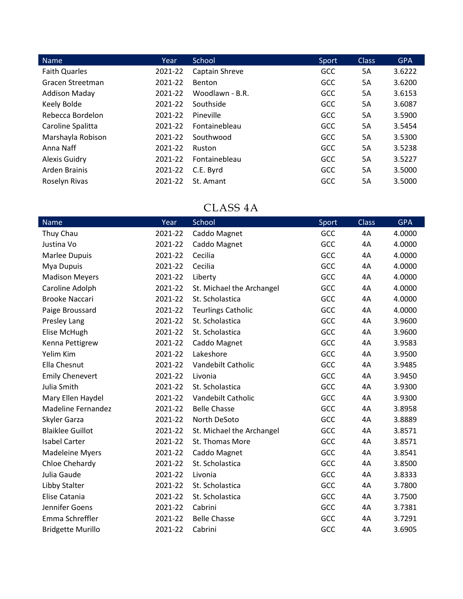| Name                 | Year    | School          | Sport      | <b>Class</b> | <b>GPA</b> |
|----------------------|---------|-----------------|------------|--------------|------------|
| <b>Faith Quarles</b> | 2021-22 | Captain Shreve  | <b>GCC</b> | 5A           | 3.6222     |
| Gracen Streetman     | 2021-22 | Benton          | <b>GCC</b> | 5A           | 3.6200     |
| <b>Addison Maday</b> | 2021-22 | Woodlawn - B.R. | <b>GCC</b> | 5A           | 3.6153     |
| Keely Bolde          | 2021-22 | Southside       | <b>GCC</b> | 5A           | 3.6087     |
| Rebecca Bordelon     | 2021-22 | Pineville       | <b>GCC</b> | 5A           | 3.5900     |
| Caroline Spalitta    | 2021-22 | Fontainebleau   | <b>GCC</b> | 5A           | 3.5454     |
| Marshayla Robison    | 2021-22 | Southwood       | <b>GCC</b> | 5A           | 3.5300     |
| Anna Naff            | 2021-22 | Ruston          | <b>GCC</b> | 5A           | 3.5238     |
| <b>Alexis Guidry</b> | 2021-22 | Fontainebleau   | <b>GCC</b> | 5A           | 3.5227     |
| Arden Brainis        | 2021-22 | C.E. Byrd       | <b>GCC</b> | 5A           | 3.5000     |
| Roselyn Rivas        | 2021-22 | St. Amant       | <b>GCC</b> | 5A           | 3.5000     |

## CLASS 4A

| Name                      | Year    | School                    | Sport      | <b>Class</b> | <b>GPA</b> |
|---------------------------|---------|---------------------------|------------|--------------|------------|
| Thuy Chau                 | 2021-22 | Caddo Magnet              | <b>GCC</b> | 4A           | 4.0000     |
| Justina Vo                | 2021-22 | Caddo Magnet              | GCC        | 4A           | 4.0000     |
| Marlee Dupuis             | 2021-22 | Cecilia                   | GCC        | 4A           | 4.0000     |
| Mya Dupuis                | 2021-22 | Cecilia                   | GCC        | 4A           | 4.0000     |
| <b>Madison Meyers</b>     | 2021-22 | Liberty                   | GCC        | 4A           | 4.0000     |
| Caroline Adolph           | 2021-22 | St. Michael the Archangel | GCC        | 4A           | 4.0000     |
| <b>Brooke Naccari</b>     | 2021-22 | St. Scholastica           | GCC        | 4A           | 4.0000     |
| Paige Broussard           | 2021-22 | <b>Teurlings Catholic</b> | GCC        | 4A           | 4.0000     |
| Presley Lang              | 2021-22 | St. Scholastica           | GCC        | 4A           | 3.9600     |
| Elise McHugh              | 2021-22 | St. Scholastica           | GCC        | 4A           | 3.9600     |
| Kenna Pettigrew           | 2021-22 | Caddo Magnet              | GCC        | 4A           | 3.9583     |
| Yelim Kim                 | 2021-22 | Lakeshore                 | <b>GCC</b> | 4A           | 3.9500     |
| Ella Chesnut              | 2021-22 | Vandebilt Catholic        | GCC        | 4A           | 3.9485     |
| <b>Emily Chenevert</b>    | 2021-22 | Livonia                   | <b>GCC</b> | 4A           | 3.9450     |
| Julia Smith               | 2021-22 | St. Scholastica           | GCC        | 4A           | 3.9300     |
| Mary Ellen Haydel         | 2021-22 | Vandebilt Catholic        | GCC        | 4A           | 3.9300     |
| <b>Madeline Fernandez</b> | 2021-22 | <b>Belle Chasse</b>       | GCC        | 4A           | 3.8958     |
| Skyler Garza              | 2021-22 | North DeSoto              | GCC        | 4A           | 3.8889     |
| <b>Blaiklee Guillot</b>   | 2021-22 | St. Michael the Archangel | GCC        | 4A           | 3.8571     |
| <b>Isabel Carter</b>      | 2021-22 | St. Thomas More           | GCC        | 4A           | 3.8571     |
| <b>Madeleine Myers</b>    | 2021-22 | Caddo Magnet              | GCC        | 4A           | 3.8541     |
| Chloe Chehardy            | 2021-22 | St. Scholastica           | GCC        | 4A           | 3.8500     |
| Julia Gaude               | 2021-22 | Livonia                   | GCC        | 4A           | 3.8333     |
| Libby Stalter             | 2021-22 | St. Scholastica           | <b>GCC</b> | 4A           | 3.7800     |
| Elise Catania             | 2021-22 | St. Scholastica           | GCC        | 4A           | 3.7500     |
| Jennifer Goens            | 2021-22 | Cabrini                   | GCC        | 4A           | 3.7381     |
| Emma Schreffler           | 2021-22 | <b>Belle Chasse</b>       | GCC        | 4A           | 3.7291     |
| <b>Bridgette Murillo</b>  | 2021-22 | Cabrini                   | GCC        | 4A           | 3.6905     |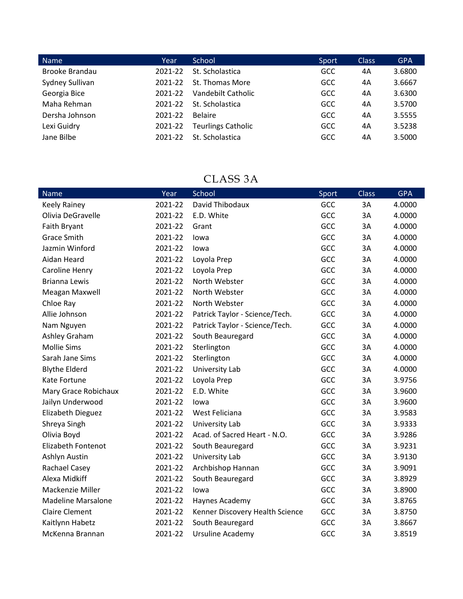| <b>Name</b>     | Year    | School                    | Sport      | <b>Class</b> | <b>GPA</b> |
|-----------------|---------|---------------------------|------------|--------------|------------|
| Brooke Brandau  | 2021-22 | St. Scholastica           | <b>GCC</b> | 4A           | 3.6800     |
| Sydney Sullivan | 2021-22 | St. Thomas More           | <b>GCC</b> | 4A           | 3.6667     |
| Georgia Bice    | 2021-22 | Vandebilt Catholic        | <b>GCC</b> | 4A           | 3.6300     |
| Maha Rehman     | 2021-22 | St. Scholastica           | <b>GCC</b> | 4A           | 3.5700     |
| Dersha Johnson  | 2021-22 | <b>Belaire</b>            | <b>GCC</b> | 4A           | 3.5555     |
| Lexi Guidry     | 2021-22 | <b>Teurlings Catholic</b> | <b>GCC</b> | 4A           | 3.5238     |
| Jane Bilbe      | 2021-22 | St. Scholastica           | <b>GCC</b> | 4A           | 3.5000     |

#### CLASS 3A

| <b>Name</b>               | Year    | School                          | Sport | <b>Class</b> | <b>GPA</b> |
|---------------------------|---------|---------------------------------|-------|--------------|------------|
| Keely Rainey              | 2021-22 | David Thibodaux                 | GCC   | 3A           | 4.0000     |
| Olivia DeGravelle         | 2021-22 | E.D. White                      | GCC   | 3A           | 4.0000     |
| Faith Bryant              | 2021-22 | Grant                           | GCC   | 3A           | 4.0000     |
| <b>Grace Smith</b>        | 2021-22 | lowa                            | GCC   | 3A           | 4.0000     |
| Jazmin Winford            | 2021-22 | lowa                            | GCC   | 3A           | 4.0000     |
| Aidan Heard               | 2021-22 | Loyola Prep                     | GCC   | 3A           | 4.0000     |
| Caroline Henry            | 2021-22 | Loyola Prep                     | GCC   | 3A           | 4.0000     |
| <b>Brianna Lewis</b>      | 2021-22 | North Webster                   | GCC   | 3A           | 4.0000     |
| Meagan Maxwell            | 2021-22 | North Webster                   | GCC   | 3A           | 4.0000     |
| Chloe Ray                 | 2021-22 | North Webster                   | GCC   | 3A           | 4.0000     |
| Allie Johnson             | 2021-22 | Patrick Taylor - Science/Tech.  | GCC   | 3A           | 4.0000     |
| Nam Nguyen                | 2021-22 | Patrick Taylor - Science/Tech.  | GCC   | 3A           | 4.0000     |
| Ashley Graham             | 2021-22 | South Beauregard                | GCC   | 3A           | 4.0000     |
| <b>Mollie Sims</b>        | 2021-22 | Sterlington                     | GCC   | 3A           | 4.0000     |
| Sarah Jane Sims           | 2021-22 | Sterlington                     | GCC   | 3A           | 4.0000     |
| <b>Blythe Elderd</b>      | 2021-22 | University Lab                  | GCC   | 3A           | 4.0000     |
| Kate Fortune              | 2021-22 | Loyola Prep                     | GCC   | 3A           | 3.9756     |
| Mary Grace Robichaux      | 2021-22 | E.D. White                      | GCC   | 3A           | 3.9600     |
| Jailyn Underwood          | 2021-22 | lowa                            | GCC   | 3A           | 3.9600     |
| Elizabeth Dieguez         | 2021-22 | West Feliciana                  | GCC   | 3A           | 3.9583     |
| Shreya Singh              | 2021-22 | University Lab                  | GCC   | 3A           | 3.9333     |
| Olivia Boyd               | 2021-22 | Acad. of Sacred Heart - N.O.    | GCC   | 3A           | 3.9286     |
| <b>Elizabeth Fontenot</b> | 2021-22 | South Beauregard                | GCC   | 3A           | 3.9231     |
| Ashlyn Austin             | 2021-22 | University Lab                  | GCC   | 3A           | 3.9130     |
| Rachael Casey             | 2021-22 | Archbishop Hannan               | GCC   | 3A           | 3.9091     |
| Alexa Midkiff             | 2021-22 | South Beauregard                | GCC   | 3A           | 3.8929     |
| Mackenzie Miller          | 2021-22 | lowa                            | GCC   | 3A           | 3.8900     |
| <b>Madeline Marsalone</b> | 2021-22 | Haynes Academy                  | GCC   | 3A           | 3.8765     |
| <b>Claire Clement</b>     | 2021-22 | Kenner Discovery Health Science | GCC   | 3A           | 3.8750     |
| Kaitlynn Habetz           | 2021-22 | South Beauregard                | GCC   | 3A           | 3.8667     |
| McKenna Brannan           | 2021-22 | <b>Ursuline Academy</b>         | GCC   | 3A           | 3.8519     |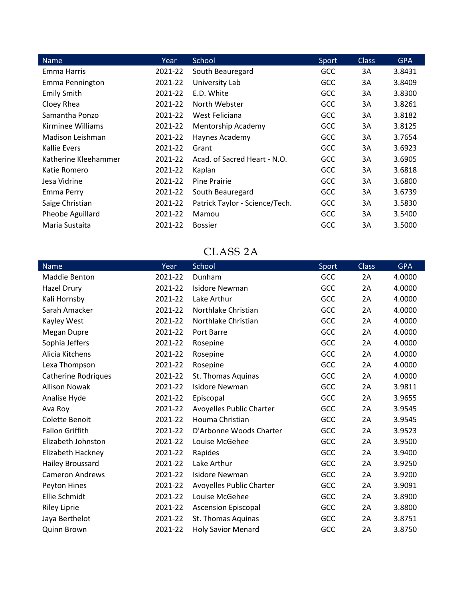| Name                 | Year    | School                         | Sport      | <b>Class</b> | <b>GPA</b> |
|----------------------|---------|--------------------------------|------------|--------------|------------|
| Emma Harris          | 2021-22 | South Beauregard               | GCC        | 3A           | 3.8431     |
| Emma Pennington      | 2021-22 | University Lab                 | <b>GCC</b> | 3A           | 3.8409     |
| <b>Emily Smith</b>   | 2021-22 | E.D. White                     | <b>GCC</b> | 3A           | 3.8300     |
| Cloey Rhea           | 2021-22 | North Webster                  | <b>GCC</b> | 3A           | 3.8261     |
| Samantha Ponzo       | 2021-22 | West Feliciana                 | <b>GCC</b> | 3A           | 3.8182     |
| Kirminee Williams    | 2021-22 | Mentorship Academy             | GCC        | 3A           | 3.8125     |
| Madison Leishman     | 2021-22 | Haynes Academy                 | GCC        | 3A           | 3.7654     |
| Kallie Evers         | 2021-22 | Grant                          | <b>GCC</b> | 3A           | 3.6923     |
| Katherine Kleehammer | 2021-22 | Acad. of Sacred Heart - N.O.   | GCC        | 3A           | 3.6905     |
| Katie Romero         | 2021-22 | Kaplan                         | <b>GCC</b> | 3A           | 3.6818     |
| Jesa Vidrine         | 2021-22 | Pine Prairie                   | GCC        | 3A           | 3.6800     |
| Emma Perry           | 2021-22 | South Beauregard               | GCC        | 3A           | 3.6739     |
| Saige Christian      | 2021-22 | Patrick Taylor - Science/Tech. | GCC        | 3A           | 3.5830     |
| Pheobe Aguillard     | 2021-22 | Mamou                          | GCC        | 3A           | 3.5400     |
| Maria Sustaita       | 2021-22 | <b>Bossier</b>                 | GCC        | 3A           | 3.5000     |

#### CLASS 2A

| Name                       | Year    | School                     | Sport | <b>Class</b> | <b>GPA</b> |
|----------------------------|---------|----------------------------|-------|--------------|------------|
| <b>Maddie Benton</b>       | 2021-22 | Dunham                     | GCC   | 2A           | 4.0000     |
| Hazel Drury                | 2021-22 | <b>Isidore Newman</b>      | GCC   | 2A           | 4.0000     |
| Kali Hornsby               | 2021-22 | Lake Arthur                | GCC   | 2A           | 4.0000     |
| Sarah Amacker              | 2021-22 | Northlake Christian        | GCC   | 2A           | 4.0000     |
| Kayley West                | 2021-22 | Northlake Christian        | GCC   | 2A           | 4.0000     |
| Megan Dupre                | 2021-22 | Port Barre                 | GCC   | 2A           | 4.0000     |
| Sophia Jeffers             | 2021-22 | Rosepine                   | GCC   | 2A           | 4.0000     |
| Alicia Kitchens            | 2021-22 | Rosepine                   | GCC   | 2A           | 4.0000     |
| Lexa Thompson              | 2021-22 | Rosepine                   | GCC   | 2A           | 4.0000     |
| <b>Catherine Rodriques</b> | 2021-22 | St. Thomas Aquinas         | GCC   | 2A           | 4.0000     |
| <b>Allison Nowak</b>       | 2021-22 | <b>Isidore Newman</b>      | GCC   | 2A           | 3.9811     |
| Analise Hyde               | 2021-22 | Episcopal                  | GCC   | 2A           | 3.9655     |
| Ava Roy                    | 2021-22 | Avoyelles Public Charter   | GCC   | 2A           | 3.9545     |
| Colette Benoit             | 2021-22 | Houma Christian            | GCC   | 2A           | 3.9545     |
| <b>Fallon Griffith</b>     | 2021-22 | D'Arbonne Woods Charter    | GCC   | 2A           | 3.9523     |
| Elizabeth Johnston         | 2021-22 | Louise McGehee             | GCC   | 2A           | 3.9500     |
| Elizabeth Hackney          | 2021-22 | Rapides                    | GCC   | 2A           | 3.9400     |
| Hailey Broussard           | 2021-22 | Lake Arthur                | GCC   | 2A           | 3.9250     |
| <b>Cameron Andrews</b>     | 2021-22 | Isidore Newman             | GCC   | 2A           | 3.9200     |
| Peyton Hines               | 2021-22 | Avoyelles Public Charter   | GCC   | 2A           | 3.9091     |
| Ellie Schmidt              | 2021-22 | Louise McGehee             | GCC   | 2A           | 3.8900     |
| <b>Riley Liprie</b>        | 2021-22 | <b>Ascension Episcopal</b> | GCC   | 2A           | 3.8800     |
| Jaya Berthelot             | 2021-22 | St. Thomas Aquinas         | GCC   | 2A           | 3.8751     |
| Quinn Brown                | 2021-22 | <b>Holy Savior Menard</b>  | GCC   | 2A           | 3.8750     |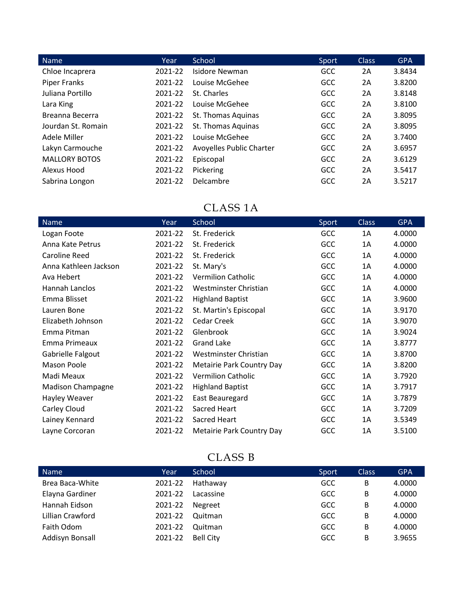| <b>Name</b>          | Year    | School                   | Sport | <b>Class</b> | <b>GPA</b> |
|----------------------|---------|--------------------------|-------|--------------|------------|
| Chloe Incaprera      | 2021-22 | Isidore Newman           | GCC   | 2A           | 3.8434     |
| <b>Piper Franks</b>  | 2021-22 | Louise McGehee           | GCC   | 2A           | 3.8200     |
| Juliana Portillo     | 2021-22 | St. Charles              | GCC   | 2A           | 3.8148     |
| Lara King            | 2021-22 | Louise McGehee           | GCC   | 2A           | 3.8100     |
| Breanna Becerra      | 2021-22 | St. Thomas Aquinas       | GCC   | 2A           | 3.8095     |
| Jourdan St. Romain   | 2021-22 | St. Thomas Aquinas       | GCC   | 2A           | 3.8095     |
| Adele Miller         | 2021-22 | Louise McGehee           | GCC   | 2A           | 3.7400     |
| Lakyn Carmouche      | 2021-22 | Avoyelles Public Charter | GCC   | 2A           | 3.6957     |
| <b>MALLORY BOTOS</b> | 2021-22 | Episcopal                | GCC   | 2A           | 3.6129     |
| Alexus Hood          | 2021-22 | Pickering                | GCC   | 2A           | 3.5417     |
| Sabrina Longon       | 2021-22 | Delcambre                | GCC   | 2A           | 3.5217     |

#### CLASS 1A

| Name                     | Year    | School                    | Sport      | <b>Class</b> | <b>GPA</b> |
|--------------------------|---------|---------------------------|------------|--------------|------------|
| Logan Foote              | 2021-22 | St. Frederick             | GCC        | 1A           | 4.0000     |
| Anna Kate Petrus         | 2021-22 | St. Frederick             | GCC        | 1A           | 4.0000     |
| <b>Caroline Reed</b>     | 2021-22 | St. Frederick             | <b>GCC</b> | 1A           | 4.0000     |
| Anna Kathleen Jackson    | 2021-22 | St. Mary's                | GCC        | 1A           | 4.0000     |
| Ava Hebert               | 2021-22 | <b>Vermilion Catholic</b> | GCC        | 1A           | 4.0000     |
| Hannah Lanclos           | 2021-22 | Westminster Christian     | GCC        | 1A           | 4.0000     |
| Emma Blisset             | 2021-22 | <b>Highland Baptist</b>   | GCC        | 1A           | 3.9600     |
| Lauren Bone              | 2021-22 | St. Martin's Episcopal    | GCC        | 1A           | 3.9170     |
| Elizabeth Johnson        | 2021-22 | Cedar Creek               | GCC        | 1A           | 3.9070     |
| Emma Pitman              | 2021-22 | Glenbrook                 | GCC        | 1A           | 3.9024     |
| Emma Primeaux            | 2021-22 | <b>Grand Lake</b>         | GCC        | 1A           | 3.8777     |
| Gabrielle Falgout        | 2021-22 | Westminster Christian     | GCC        | 1A           | 3.8700     |
| Mason Poole              | 2021-22 | Metairie Park Country Day | GCC        | 1A           | 3.8200     |
| Madi Meaux               | 2021-22 | <b>Vermilion Catholic</b> | GCC        | 1A           | 3.7920     |
| <b>Madison Champagne</b> | 2021-22 | <b>Highland Baptist</b>   | GCC        | 1A           | 3.7917     |
| Hayley Weaver            | 2021-22 | East Beauregard           | GCC        | 1A           | 3.7879     |
| Carley Cloud             | 2021-22 | Sacred Heart              | GCC        | 1A           | 3.7209     |
| Lainey Kennard           | 2021-22 | Sacred Heart              | GCC        | 1A           | 3.5349     |
| Layne Corcoran           | 2021-22 | Metairie Park Country Day | GCC        | 1A           | 3.5100     |

### CLASS B

| Year    | School           | Sport      | <b>Class</b> | <b>GPA</b> |
|---------|------------------|------------|--------------|------------|
| 2021-22 | Hathaway         | <b>GCC</b> | B            | 4.0000     |
| 2021-22 | Lacassine        | <b>GCC</b> | B            | 4.0000     |
| 2021-22 | Negreet          | <b>GCC</b> | B            | 4.0000     |
| 2021-22 | Quitman          | <b>GCC</b> | B            | 4.0000     |
| 2021-22 | Quitman          | <b>GCC</b> | B            | 4.0000     |
| 2021-22 | <b>Bell City</b> | <b>GCC</b> | B            | 3.9655     |
|         |                  |            |              |            |